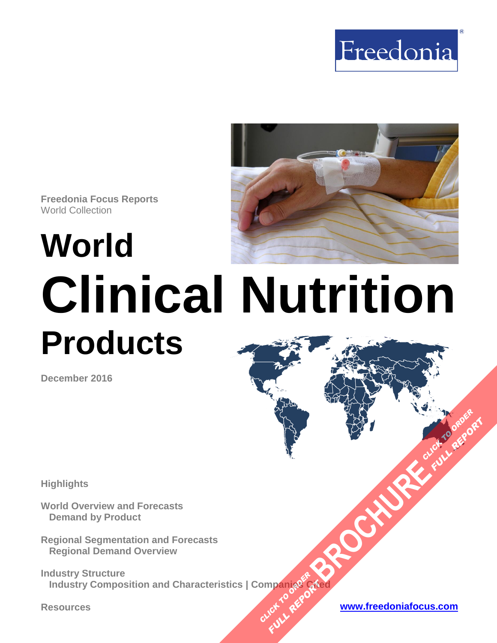



# **World Clinical Nutrition Products**

**December 2016**

**Highlights**

**World Overview and Forecasts Demand by Product**

**Regional Segmentation and Forecasts Regional Demand Overview**

**Industry Structure Industry Composition and Characteristics | Companies Cited OMPanjages Planage CATE** 

**Resources [www.freedoniafocus.com](http://www.freedoniagroup.com/FocusReports.aspx?ReferrerId=FM-FocusBro)**

**[BROCHURE](http://www.freedoniagroup.com/FocusDetails.aspx?ReferrerId=FM-FocusBro&ReportID=FW40067) CLICK TO ORDER** 

**FULL REPORT**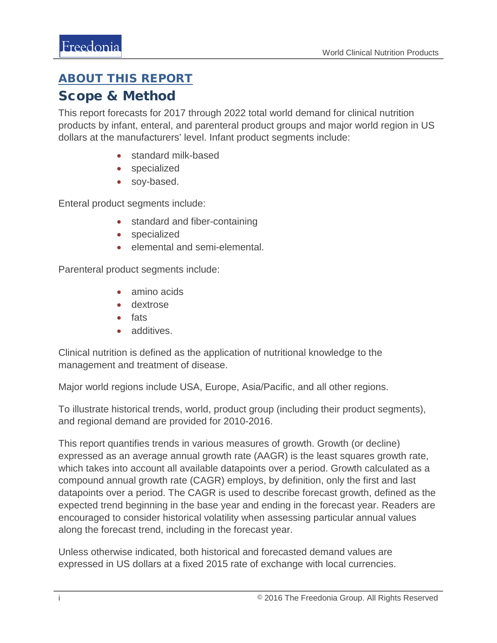## <span id="page-1-0"></span>ABOUT THIS REPORT

### Scope & Method

This report forecasts for 2017 through 2022 total world demand for clinical nutrition products by infant, enteral, and parenteral product groups and major world region in US dollars at the manufacturers' level. Infant product segments include:

- standard milk-based
- specialized
- soy-based.

Enteral product segments include:

- standard and fiber-containing
- specialized
- elemental and semi-elemental.

Parenteral product segments include:

- amino acids
- dextrose
- fats
- additives.

Clinical nutrition is defined as the application of nutritional knowledge to the management and treatment of disease.

Major world regions include USA, Europe, Asia/Pacific, and all other regions.

To illustrate historical trends, world, product group (including their product segments), and regional demand are provided for 2010-2016.

This report quantifies trends in various measures of growth. Growth (or decline) expressed as an average annual growth rate (AAGR) is the least squares growth rate, which takes into account all available datapoints over a period. Growth calculated as a compound annual growth rate (CAGR) employs, by definition, only the first and last datapoints over a period. The CAGR is used to describe forecast growth, defined as the expected trend beginning in the base year and ending in the forecast year. Readers are encouraged to consider historical volatility when assessing particular annual values along the forecast trend, including in the forecast year.

Unless otherwise indicated, both historical and forecasted demand values are expressed in US dollars at a fixed 2015 rate of exchange with local currencies.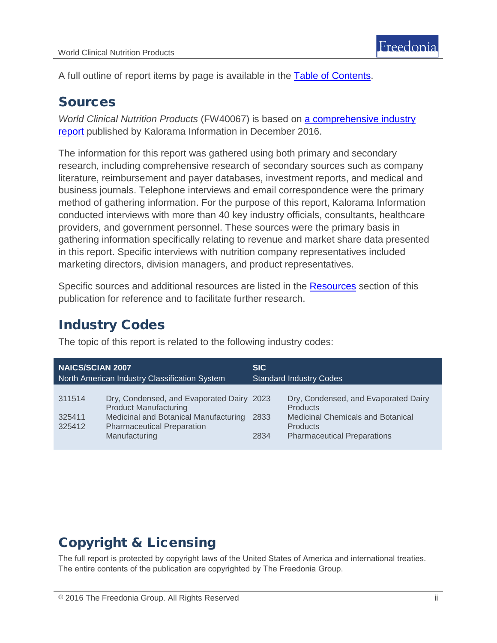A full outline of report items by page is available in the [Table of Contents.](#page-3-0)

## Sources

*World Clinical Nutrition Products* (FW40067) is based on [a comprehensive industry](http://www.kaloramainformation.com/Clinical-Nutrition-Products-10453572/)  [report](http://www.kaloramainformation.com/Clinical-Nutrition-Products-10453572/) published by Kalorama Information in December 2016.

The information for this report was gathered using both primary and secondary research, including comprehensive research of secondary sources such as company literature, reimbursement and payer databases, investment reports, and medical and business journals. Telephone interviews and email correspondence were the primary method of gathering information. For the purpose of this report, Kalorama Information conducted interviews with more than 40 key industry officials, consultants, healthcare providers, and government personnel. These sources were the primary basis in gathering information specifically relating to revenue and market share data presented in this report. Specific interviews with nutrition company representatives included marketing directors, division managers, and product representatives.

Specific sources and additional resources are listed in the [Resources](#page-4-0) section of this publication for reference and to facilitate further research.

# Industry Codes

The topic of this report is related to the following industry codes:

| <b>NAICS/SCIAN 2007</b>                       |                                                                                                                                                                          | <b>SIC</b>                     |                                                                                                                                                              |
|-----------------------------------------------|--------------------------------------------------------------------------------------------------------------------------------------------------------------------------|--------------------------------|--------------------------------------------------------------------------------------------------------------------------------------------------------------|
| North American Industry Classification System |                                                                                                                                                                          | <b>Standard Industry Codes</b> |                                                                                                                                                              |
| 311514<br>325411<br>325412                    | Dry, Condensed, and Evaporated Dairy 2023<br><b>Product Manufacturing</b><br>Medicinal and Botanical Manufacturing<br><b>Pharmaceutical Preparation</b><br>Manufacturing | 2833<br>2834                   | Dry, Condensed, and Evaporated Dairy<br><b>Products</b><br><b>Medicinal Chemicals and Botanical</b><br><b>Products</b><br><b>Pharmaceutical Preparations</b> |

# Copyright & Licensing

The full report is protected by copyright laws of the United States of America and international treaties. The entire contents of the publication are copyrighted by The Freedonia Group.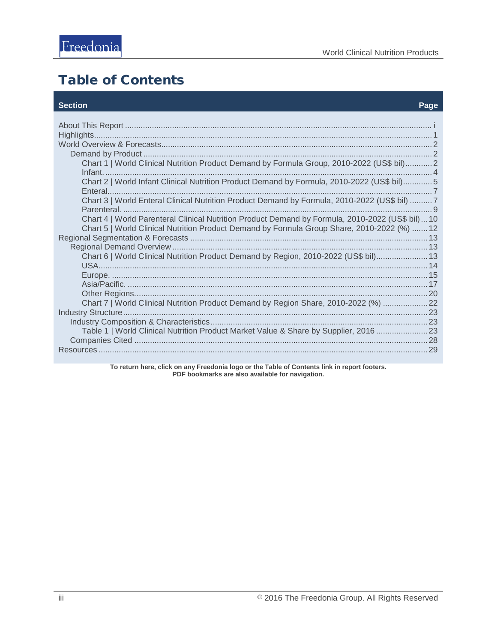# <span id="page-3-0"></span>**Table of Contents**

#### **Section**

#### Page

| Chart 1   World Clinical Nutrition Product Demand by Formula Group, 2010-2022 (US\$ bil) 2                                                                                                     |  |
|------------------------------------------------------------------------------------------------------------------------------------------------------------------------------------------------|--|
| Chart 2   World Infant Clinical Nutrition Product Demand by Formula, 2010-2022 (US\$ bil)5                                                                                                     |  |
| Chart 3   World Enteral Clinical Nutrition Product Demand by Formula, 2010-2022 (US\$ bil) 7                                                                                                   |  |
| Chart 4   World Parenteral Clinical Nutrition Product Demand by Formula, 2010-2022 (US\$ bil)10<br>Chart 5   World Clinical Nutrition Product Demand by Formula Group Share, 2010-2022 (%)  12 |  |
|                                                                                                                                                                                                |  |
|                                                                                                                                                                                                |  |
| Chart 6   World Clinical Nutrition Product Demand by Region, 2010-2022 (US\$ bil) 13                                                                                                           |  |
|                                                                                                                                                                                                |  |
|                                                                                                                                                                                                |  |
|                                                                                                                                                                                                |  |
| Chart 7   World Clinical Nutrition Product Demand by Region Share, 2010-2022 (%)  22                                                                                                           |  |
|                                                                                                                                                                                                |  |
|                                                                                                                                                                                                |  |
| Table 1   World Clinical Nutrition Product Market Value & Share by Supplier, 2016 23                                                                                                           |  |
|                                                                                                                                                                                                |  |
|                                                                                                                                                                                                |  |

To return here, click on any Freedonia logo or the Table of Contents link in report footers.<br>PDF bookmarks are also available for navigation.